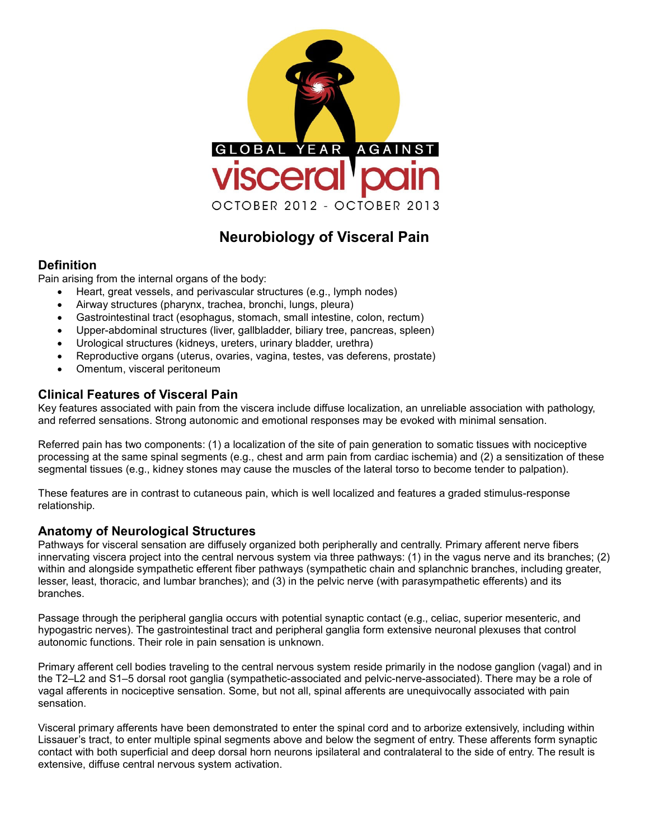

# **Neurobiology of Visceral Pain**

### **Definition**

Pain arising from the internal organs of the body:

- Heart, great vessels, and perivascular structures (e.g., lymph nodes)
	- Airway structures (pharynx, trachea, bronchi, lungs, pleura)
	- Gastrointestinal tract (esophagus, stomach, small intestine, colon, rectum)
	- Upper-abdominal structures (liver, gallbladder, biliary tree, pancreas, spleen)
	- Urological structures (kidneys, ureters, urinary bladder, urethra)
	- Reproductive organs (uterus, ovaries, vagina, testes, vas deferens, prostate)
	- Omentum, visceral peritoneum

## **Clinical Features of Visceral Pain**

Key features associated with pain from the viscera include diffuse localization, an unreliable association with pathology, and referred sensations. Strong autonomic and emotional responses may be evoked with minimal sensation.

Referred pain has two components: (1) a localization of the site of pain generation to somatic tissues with nociceptive processing at the same spinal segments (e.g., chest and arm pain from cardiac ischemia) and (2) a sensitization of these segmental tissues (e.g., kidney stones may cause the muscles of the lateral torso to become tender to palpation).

These features are in contrast to cutaneous pain, which is well localized and features a graded stimulus-response relationship.

### **Anatomy of Neurological Structures**

Pathways for visceral sensation are diffusely organized both peripherally and centrally. Primary afferent nerve fibers innervating viscera project into the central nervous system via three pathways: (1) in the vagus nerve and its branches; (2) within and alongside sympathetic efferent fiber pathways (sympathetic chain and splanchnic branches, including greater, lesser, least, thoracic, and lumbar branches); and (3) in the pelvic nerve (with parasympathetic efferents) and its branches.

Passage through the peripheral ganglia occurs with potential synaptic contact (e.g., celiac, superior mesenteric, and hypogastric nerves). The gastrointestinal tract and peripheral ganglia form extensive neuronal plexuses that control autonomic functions. Their role in pain sensation is unknown.

Primary afferent cell bodies traveling to the central nervous system reside primarily in the nodose ganglion (vagal) and in the T2–L2 and S1–5 dorsal root ganglia (sympathetic-associated and pelvic-nerve-associated). There may be a role of vagal afferents in nociceptive sensation. Some, but not all, spinal afferents are unequivocally associated with pain sensation.

Visceral primary afferents have been demonstrated to enter the spinal cord and to arborize extensively, including within Lissauer's tract, to enter multiple spinal segments above and below the segment of entry. These afferents form synaptic contact with both superficial and deep dorsal horn neurons ipsilateral and contralateral to the side of entry. The result is extensive, diffuse central nervous system activation.